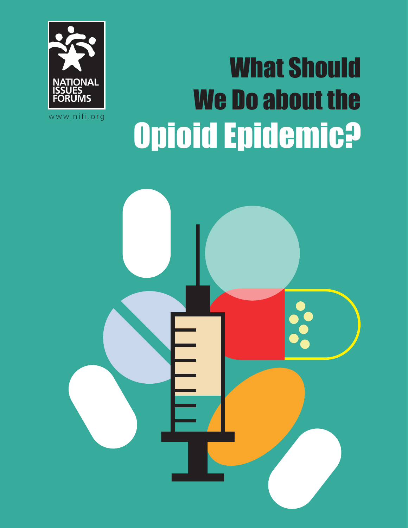

What Should We Do about the Opioid Epidemic?

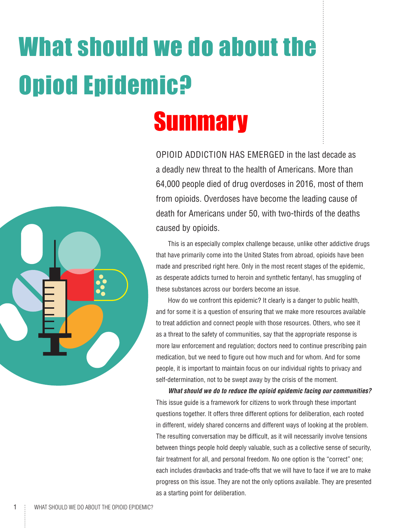# What should we do about the Opiod Epidemic?



OPIOID ADDICTION HAS EMERGED in the last decade as a deadly new threat to the health of Americans. More than 64,000 people died of drug overdoses in 2016, most of them from opioids. Overdoses have become the leading cause of death for Americans under 50, with two-thirds of the deaths caused by opioids.

This is an especially complex challenge because, unlike other addictive drugs that have primarily come into the United States from abroad, opioids have been made and prescribed right here. Only in the most recent stages of the epidemic, as desperate addicts turned to heroin and synthetic fentanyl, has smuggling of these substances across our borders become an issue.

How do we confront this epidemic? It clearly is a danger to public health, and for some it is a question of ensuring that we make more resources available to treat addiction and connect people with those resources. Others, who see it as a threat to the safety of communities, say that the appropriate response is more law enforcement and regulation; doctors need to continue prescribing pain medication, but we need to figure out how much and for whom. And for some people, it is important to maintain focus on our individual rights to privacy and self-determination, not to be swept away by the crisis of the moment.

*What should we do to reduce the opioid epidemic facing our communities?* This issue guide is a framework for citizens to work through these important questions together. It offers three different options for deliberation, each rooted in different, widely shared concerns and different ways of looking at the problem. The resulting conversation may be difficult, as it will necessarily involve tensions between things people hold deeply valuable, such as a collective sense of security, fair treatment for all, and personal freedom. No one option is the "correct" one; each includes drawbacks and trade-offs that we will have to face if we are to make progress on this issue. They are not the only options available. They are presented as a starting point for deliberation.

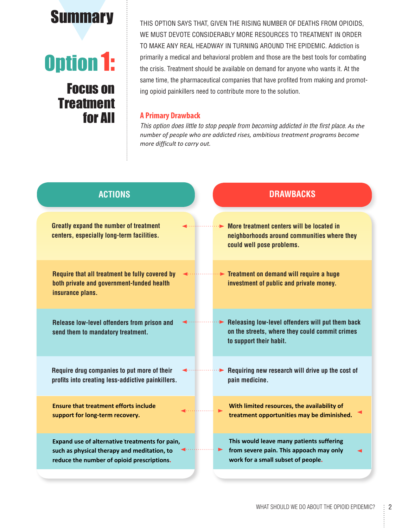

# Option 1:

### Focus on **Treatment** for All

**Summary** THIS OPTION SAYS THAT, GIVEN THE RISING NUMBER OF DEATHS FROM OPIOIDS, WE MUST DEVOTE CONSIDERABLY MORE RESOURCES TO TREATMENT IN ORDER TO MAKE ANY REAL HEADWAY IN TURNING AROUND THE EPIDEMIC. Addiction is primarily a medical and behavioral problem and those are the best tools for combating the crisis. Treatment should be available on demand for anyone who wants it. At the same time, the pharmaceutical companies that have profited from making and promoting opioid painkillers need to contribute more to the solution.

### **A Primary Drawback**

*This option does little to stop people from becoming addicted in the first place*. *As the number of people who are addicted rises, ambitious treatment programs become more difficult to carry out.* 

| <b>ACTIONS</b>                                                                                                                              |   | <b>DRAWBACKS</b>                                                                                                              |
|---------------------------------------------------------------------------------------------------------------------------------------------|---|-------------------------------------------------------------------------------------------------------------------------------|
| <b>Greatly expand the number of treatment</b><br>centers, especially long-term facilities.                                                  |   | More treatment centers will be located in<br>neighborhoods around communities where they<br>could well pose problems.         |
| Require that all treatment be fully covered by<br>both private and government-funded health<br>insurance plans.                             |   | $\blacktriangleright$ Treatment on demand will require a huge<br>investment of public and private money.                      |
| Release low-level offenders from prison and<br>send them to mandatory treatment.                                                            |   | Releasing low-level offenders will put them back<br>on the streets, where they could commit crimes<br>to support their habit. |
| Require drug companies to put more of their<br>profits into creating less-addictive painkillers.                                            | ► | Requiring new research will drive up the cost of<br>pain medicine.                                                            |
| <b>Ensure that treatment efforts include</b><br>support for long-term recovery.                                                             |   | With limited resources, the availability of<br>treatment opportunities may be diminished.                                     |
| Expand use of alternative treatments for pain,<br>such as physical therapy and meditation, to<br>reduce the number of opioid prescriptions. |   | This would leave many patients suffering<br>from severe pain. This appoach may only<br>work for a small subset of people.     |
|                                                                                                                                             |   |                                                                                                                               |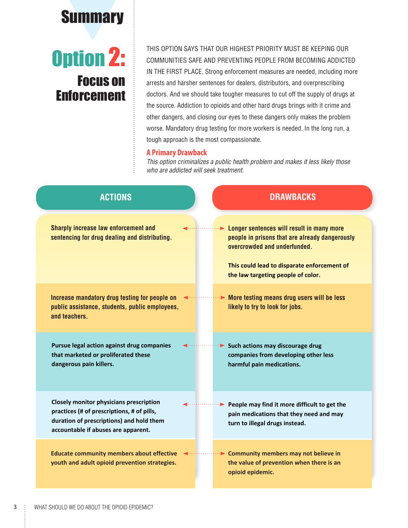

### Option 2: Focus on Enforcement

THIS OPTION SAYS THAT OUR HIGHEST PRIORITY MUST BE KEEPING OUR COMMUNITIES SAFE AND PREVENTING PEOPLE FROM BECOMING ADDICTED IN THE FIRST PLACE. Strong enforcement measures are needed, including more arrests and harsher sentences for dealers, distributors, and overprescribing doctors. And we should take tougher measures to cut off the supply of drugs at the source. Addiction to opioids and other hard drugs brings with it crime and other dangers, and closing our eyes to these dangers only makes the problem worse. Mandatory drug testing for more workers is needed. In the long run, a tough approach is the most compassionate.

#### **A Primary Drawback**

*This option criminalizes a public health problem and makes it less likely those who are addicted will seek treatment.*

| <b>ACTIONS</b>                                                                                                                                                                  | <b>DRAWBACKS</b>                                                                                                                                                                                                 |
|---------------------------------------------------------------------------------------------------------------------------------------------------------------------------------|------------------------------------------------------------------------------------------------------------------------------------------------------------------------------------------------------------------|
| <b>Sharply increase law enforcement and</b><br>sentencing for drug dealing and distributing.                                                                                    | Longer sentences will result in many more<br>people in prisons that are already dangerously<br>overcrowded and underfunded.<br>This could lead to disparate enforcement of<br>the law targeting people of color. |
| Increase mandatory drug testing for people on<br>public assistance, students, public employees,<br>and teachers.                                                                | $\cdots$ More testing means drug users will be less<br>likely to try to look for jobs.                                                                                                                           |
| Pursue legal action against drug companies<br>that marketed or proliferated these<br>dangerous pain killers.                                                                    | $\blacktriangleright$ Such actions may discourage drug<br>companies from developing other less<br>harmful pain medications.                                                                                      |
| <b>Closely monitor physicians prescription</b><br>practices (# of prescriptions, # of pills,<br>duration of prescriptions) and hold them<br>accountable if abuses are apparent. | $\blacktriangleright$ People may find it more difficult to get the<br>pain medications that they need and may<br>turn to illegal drugs instead.                                                                  |
| <b>Educate community members about effective</b><br>youth and adult opioid prevention strategies.                                                                               | •• Community members may not believe in<br>the value of prevention when there is an<br>opioid epidemic.                                                                                                          |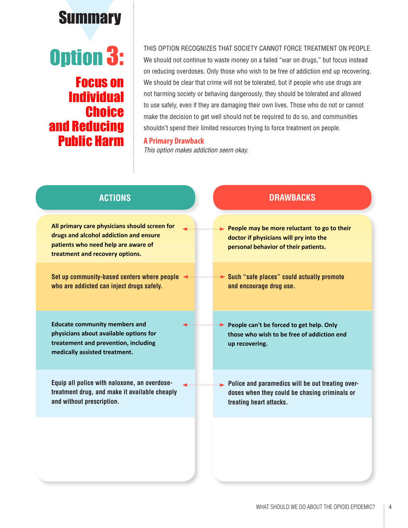## **Summary**

### Option 3: Focus on **Individual Choice** and Reducing Public Harm

THIS OPTION RECOGNIZES THAT SOCIETY CANNOT FORCE TREATMENT ON PEOPLE.

We should not continue to waste money on a failed "war on drugs," but focus instead on reducing overdoses. Only those who wish to be free of addiction end up recovering. We should be clear that crime will not be tolerated, but if people who use drugs are not harming society or behaving dangerously, they should be tolerated and allowed to use safely, even if they are damaging their own lives. Those who do not or cannot make the decision to get well should not be required to do so, and communities shouldn't spend their limited resources trying to force treatment on people.

#### **A Primary Drawback**

*This option makes addiction seem okay.*

| <b>ACTIONS</b>                                                                                                                                                    | <b>DRAWBACKS</b>                                                                                                                                    |
|-------------------------------------------------------------------------------------------------------------------------------------------------------------------|-----------------------------------------------------------------------------------------------------------------------------------------------------|
| All primary care physicians should screen for<br>drugs and alcohol addiction and ensure<br>patients who need help are aware of<br>treatment and recovery options. | $\blacktriangleright$ People may be more reluctant to go to their<br>doctor if physicians will pry into the<br>personal behavior of their patients. |
| Set up community-based centers where people<br>who are addicted can inject drugs safely.                                                                          | Such "safe places" could actually promote<br>and encourage drug use.                                                                                |
| <b>Educate community members and</b><br>physicians about available options for<br>treatement and prevention, including<br>medically assisted treatment.           | People can't be forced to get help. Only<br>those who wish to be free of addiction end<br>up recovering.                                            |
| Equip all police with naloxone, an overdose-<br>treatment drug, and make it available cheaply<br>and without prescription.                                        | Police and paramedics will be out treating over-<br>doses when they could be chasing criminals or<br>treating heart attacks.                        |
|                                                                                                                                                                   |                                                                                                                                                     |